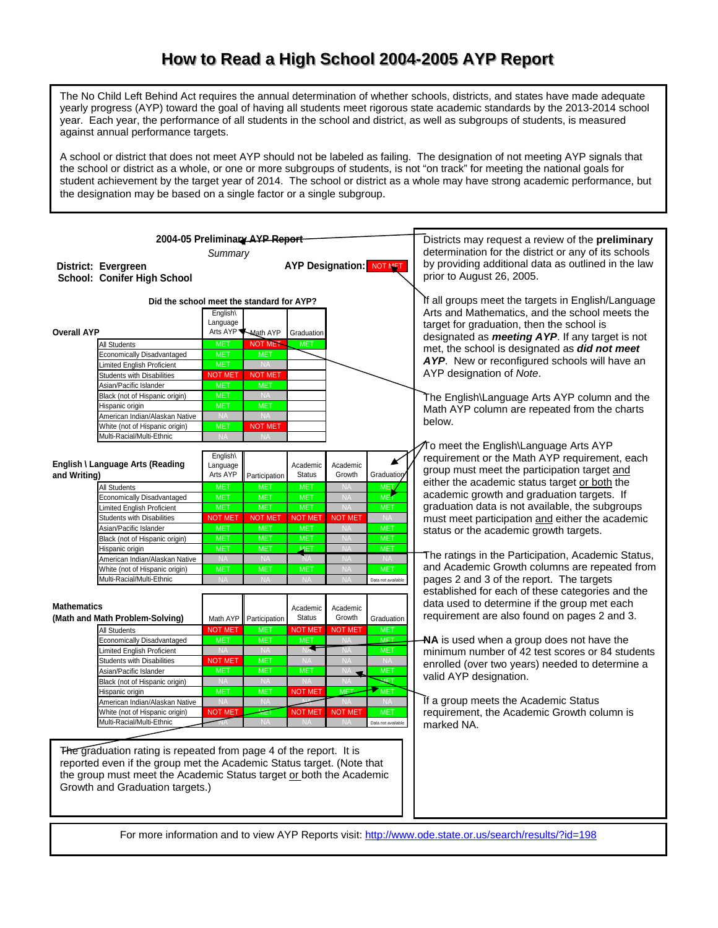## How to Read a High School 2004-2005 AYP Report

The No Child Left Behind Act requires the annual determination of whether schools, districts, and states have made adequate yearly progress (AYP) toward the goal of having all students meet rigorous state academic standards by the 2013-2014 school year. Each year, the performance of all students in the school and district, as well as subgroups of students, is measured against annual performance targets.

A school or district that does not meet AYP should not be labeled as failing. The designation of not meeting AYP signals that the school or district as a whole, or one or more subgroups of students, is not "on track" for meeting the national goals for student achievement by the target year of 2014. The school or district as a whole may have strong academic performance, but the designation may be based on a single factor or a single subgroup.

|                    | 2004-05 Preliminary AYP Report                                         |                          | Districts may request a review of the <b>preliminary</b> |                               |                                 |                          |                                                                                                       |  |  |  |
|--------------------|------------------------------------------------------------------------|--------------------------|----------------------------------------------------------|-------------------------------|---------------------------------|--------------------------|-------------------------------------------------------------------------------------------------------|--|--|--|
|                    |                                                                        | Summary                  | determination for the district or any of its schools     |                               |                                 |                          |                                                                                                       |  |  |  |
|                    | District: Evergreen                                                    |                          | by providing additional data as outlined in the law      |                               |                                 |                          |                                                                                                       |  |  |  |
|                    |                                                                        |                          |                                                          |                               | <b>AYP Designation: NOT MET</b> |                          | prior to August 26, 2005.                                                                             |  |  |  |
|                    | School: Conifer High School                                            |                          |                                                          |                               |                                 |                          |                                                                                                       |  |  |  |
|                    |                                                                        |                          |                                                          |                               |                                 |                          |                                                                                                       |  |  |  |
|                    | Did the school meet the standard for AYP?                              |                          | If all groups meet the targets in English/Language       |                               |                                 |                          |                                                                                                       |  |  |  |
|                    |                                                                        | English\                 |                                                          |                               |                                 |                          | Arts and Mathematics, and the school meets the                                                        |  |  |  |
|                    |                                                                        | Language                 |                                                          |                               |                                 |                          | target for graduation, then the school is                                                             |  |  |  |
| <b>Overall AYP</b> |                                                                        |                          | Arts AYP Math AYP                                        | Graduation                    |                                 |                          | designated as <b>meeting AYP</b> . If any target is not                                               |  |  |  |
|                    | <b>All Students</b>                                                    | <b>MET</b>               | <b>NOT MET</b>                                           | <b>MET</b>                    |                                 |                          | met, the school is designated as did not meet                                                         |  |  |  |
|                    | <b>Economically Disadvantaged</b><br><b>Limited English Proficient</b> | <b>MET</b><br><b>MET</b> | <b>MET</b><br><b>NA</b>                                  |                               |                                 |                          | AYP. New or reconfigured schools will have an                                                         |  |  |  |
|                    | <b>Students with Disabilities</b>                                      | <b>NOT MET</b>           | <b>NOT MET</b>                                           |                               |                                 |                          | AYP designation of Note.                                                                              |  |  |  |
|                    | Asian/Pacific Islander                                                 | <b>MET</b>               | <b>MET</b>                                               |                               |                                 |                          |                                                                                                       |  |  |  |
|                    | Black (not of Hispanic origin)                                         | <b>MET</b>               | <b>NA</b>                                                |                               |                                 |                          | The English\Language Arts AYP column and the                                                          |  |  |  |
|                    | Hispanic origin                                                        | <b>MET</b>               | <b>MET</b>                                               |                               |                                 |                          |                                                                                                       |  |  |  |
|                    | American Indian/Alaskan Native                                         | <b>NA</b>                | <b>NA</b>                                                |                               |                                 |                          | Math AYP column are repeated from the charts                                                          |  |  |  |
|                    | White (not of Hispanic origin)                                         | <b>MET</b>               | <b>NOT MET</b>                                           |                               |                                 |                          | below.                                                                                                |  |  |  |
|                    | Multi-Racial/Multi-Ethnic                                              | <b>NA</b>                | <b>NA</b>                                                |                               |                                 |                          |                                                                                                       |  |  |  |
|                    |                                                                        |                          |                                                          |                               |                                 |                          | ⁄To meet the English\Language Arts AYP                                                                |  |  |  |
|                    |                                                                        | English\                 |                                                          |                               |                                 | K                        | requirement or the Math AYP requirement, each                                                         |  |  |  |
|                    | English \ Language Arts (Reading                                       | Language<br>Arts AYP     |                                                          | Academic<br><b>Status</b>     | Academic<br>Growth              | Graduation               | group must meet the participation target and                                                          |  |  |  |
| and Writing)       |                                                                        |                          | Participation                                            |                               |                                 |                          | either the academic status target or both the                                                         |  |  |  |
|                    | <b>All Students</b>                                                    | <b>MET</b>               | <b>MET</b>                                               | <b>MET</b>                    | <b>NA</b>                       | <b>MET</b>               | academic growth and graduation targets. If                                                            |  |  |  |
|                    | <b>Economically Disadvantaged</b>                                      | <b>MET</b><br><b>MET</b> | <b>MET</b><br><b>MET</b>                                 | <b>MET</b><br><b>MET</b>      | <b>NA</b><br><b>NA</b>          | <b>MET</b><br><b>MET</b> | graduation data is not available, the subgroups                                                       |  |  |  |
|                    | <b>Limited English Proficient</b><br><b>Students with Disabilities</b> | <b>NOT MET</b>           | <b>NOT MET</b>                                           | <b>NOT MET</b>                | <b>NOT MET</b>                  | <b>NA</b>                |                                                                                                       |  |  |  |
|                    | Asian/Pacific Islander                                                 | <b>MET</b>               | <b>MET</b>                                               | <b>MET</b>                    | <b>NA</b>                       | <b>MET</b>               | must meet participation and either the academic                                                       |  |  |  |
|                    | Black (not of Hispanic origin)                                         | <b>MET</b>               | <b>MET</b>                                               | <b>MET</b>                    | <b>NA</b>                       | <b>MET</b>               | status or the academic growth targets.                                                                |  |  |  |
|                    | Hispanic origin                                                        | <b>MET</b>               | <b>MET</b>                                               | <b>MET</b>                    | <b>NA</b>                       | <b>MET</b>               |                                                                                                       |  |  |  |
|                    | American Indian/Alaskan Native                                         | <b>NA</b>                | <b>NA</b>                                                |                               | <b>NA</b>                       |                          | The ratings in the Participation, Academic Status,                                                    |  |  |  |
|                    | White (not of Hispanic origin)                                         | <b>MET</b>               | <b>MET</b>                                               | <b>MET</b>                    | <b>NA</b>                       | <b>MET</b>               | and Academic Growth columns are repeated from                                                         |  |  |  |
|                    | Multi-Racial/Multi-Ethnic                                              |                          |                                                          |                               | NΑ                              | Data not available       | pages 2 and 3 of the report. The targets                                                              |  |  |  |
|                    |                                                                        |                          |                                                          |                               |                                 |                          | established for each of these categories and the                                                      |  |  |  |
| <b>Mathematics</b> |                                                                        |                          |                                                          |                               |                                 |                          | data used to determine if the group met each                                                          |  |  |  |
|                    | (Math and Math Problem-Solving)                                        |                          |                                                          | Academic<br><b>Status</b>     | Academic<br>Growth              |                          | requirement are also found on pages 2 and 3.                                                          |  |  |  |
|                    |                                                                        | Math AYP                 | Participation                                            |                               |                                 | Graduation               |                                                                                                       |  |  |  |
|                    | All Students                                                           | <b>NOT MET</b>           | <b>MET</b>                                               | <b>NOT MET</b>                | <b>NOT MET</b>                  | <b>MET</b><br><b>MFT</b> |                                                                                                       |  |  |  |
|                    | <b>Economically Disadvantaged</b><br>Limited English Proficient        | <b>MET</b><br><b>NA</b>  | <b>MET</b><br><b>NA</b>                                  | <b>MET</b><br>NA <sup>T</sup> | <b>NA</b>                       | <b>MET</b>               | NA is used when a group does not have the                                                             |  |  |  |
|                    | <b>Students with Disabilities</b>                                      | <b>NOT MET</b>           | <b>MET</b>                                               | <b>NA</b>                     | NA<br><b>NA</b>                 | <b>NA</b>                | minimum number of 42 test scores or 84 students                                                       |  |  |  |
|                    | Asian/Pacific Islander                                                 | <b>MET</b>               | <b>MET</b>                                               | <b>MET</b>                    | NA.<br>$\overline{\phantom{a}}$ | <b>MET</b>               | enrolled (over two years) needed to determine a                                                       |  |  |  |
|                    | Black (not of Hispanic origin)                                         | <b>NA</b>                | <b>NA</b>                                                | <b>NA</b>                     | <b>NA</b>                       | MET                      | valid AYP designation.                                                                                |  |  |  |
|                    | Hispanic origin                                                        | <b>MET</b>               | <b>MET</b>                                               | <b>NOT MET</b>                | <b>MET</b>                      | MET                      |                                                                                                       |  |  |  |
|                    | American Indian/Alaskan Native                                         | <b>NA</b>                | <b>NA</b>                                                |                               | <b>NA</b>                       | <b>NA</b>                | If a group meets the Academic Status                                                                  |  |  |  |
|                    | White (not of Hispanic origin)                                         | <b>NOT MET</b>           | MET                                                      | <b>NOT MET</b>                | <b>NOT MET</b>                  | <b>MET</b>               | requirement, the Academic Growth column is                                                            |  |  |  |
|                    | Multi-Racial/Multi-Ethnic                                              |                          | <b>NA</b>                                                |                               |                                 | Data not available       | marked NA.                                                                                            |  |  |  |
|                    |                                                                        |                          |                                                          |                               |                                 |                          |                                                                                                       |  |  |  |
|                    |                                                                        |                          |                                                          |                               |                                 |                          |                                                                                                       |  |  |  |
|                    | The graduation rating is repeated from page 4 of the report. It is     |                          |                                                          |                               |                                 |                          |                                                                                                       |  |  |  |
|                    | reported even if the group met the Academic Status target. (Note that  |                          |                                                          |                               |                                 |                          |                                                                                                       |  |  |  |
|                    | the group must meet the Academic Status target or both the Academic    |                          |                                                          |                               |                                 |                          |                                                                                                       |  |  |  |
|                    | Growth and Graduation targets.)                                        |                          |                                                          |                               |                                 |                          |                                                                                                       |  |  |  |
|                    |                                                                        |                          |                                                          |                               |                                 |                          |                                                                                                       |  |  |  |
|                    |                                                                        |                          |                                                          |                               |                                 |                          |                                                                                                       |  |  |  |
|                    |                                                                        |                          |                                                          |                               |                                 |                          |                                                                                                       |  |  |  |
|                    |                                                                        |                          |                                                          |                               |                                 |                          | For more information and to view AYP Reports visit: http://www.ode.state.or.us/search/results/?id=198 |  |  |  |